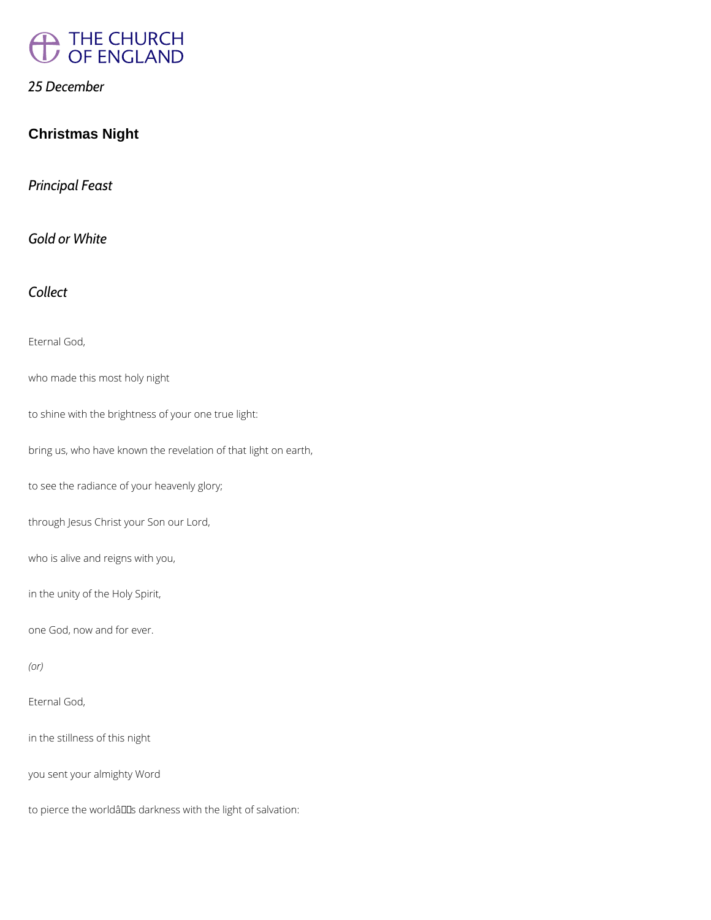

#### *25 December*

# **Christmas Night**

*Principal Feast*

*Gold or White*

*Collect*

Eternal God,

who made this most holy night

to shine with the brightness of your one true light:

bring us, who have known the revelation of that light on earth,

to see the radiance of your heavenly glory;

through Jesus Christ your Son our Lord,

who is alive and reigns with you,

in the unity of the Holy Spirit,

one God, now and for ever.

Eternal God,

in the stillness of this night

you sent your almighty Word

to pierce the worldâlls darkness with the light of salvation: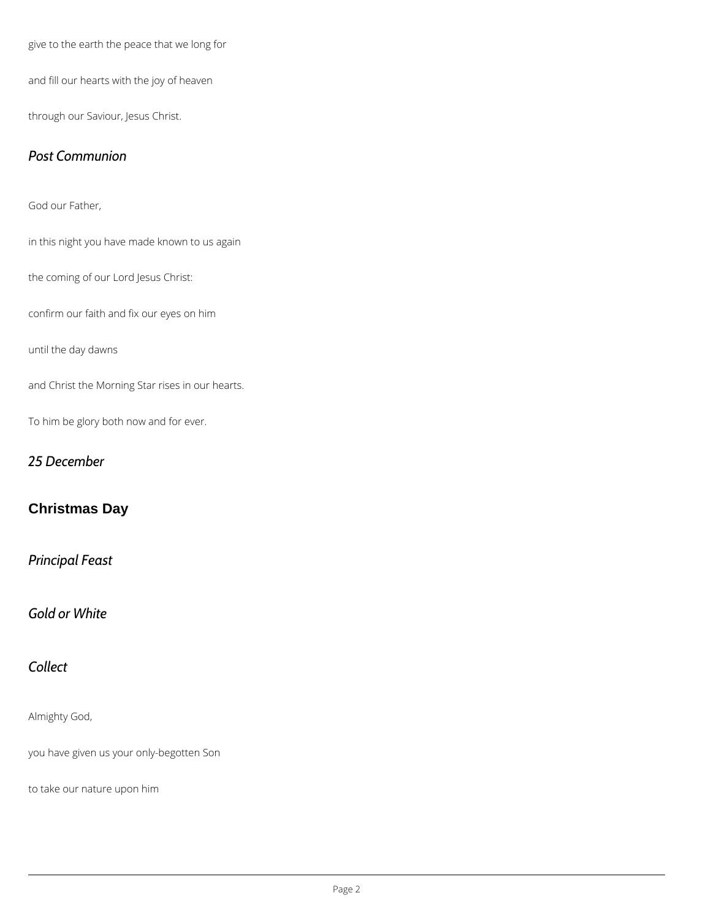give to the earth the peace that we long for

and fill our hearts with the joy of heaven

through our Saviour, Jesus Christ.

#### *Post Communion*

God our Father,

in this night you have made known to us again

the coming of our Lord Jesus Christ:

confirm our faith and fix our eyes on him

until the day dawns

and Christ the Morning Star rises in our hearts.

To him be glory both now and for ever.

## *25 December*

# **Christmas Day**

## *Principal Feast*

*Gold or White*

# *Collect*

#### Almighty God,

you have given us your only-begotten Son

to take our nature upon him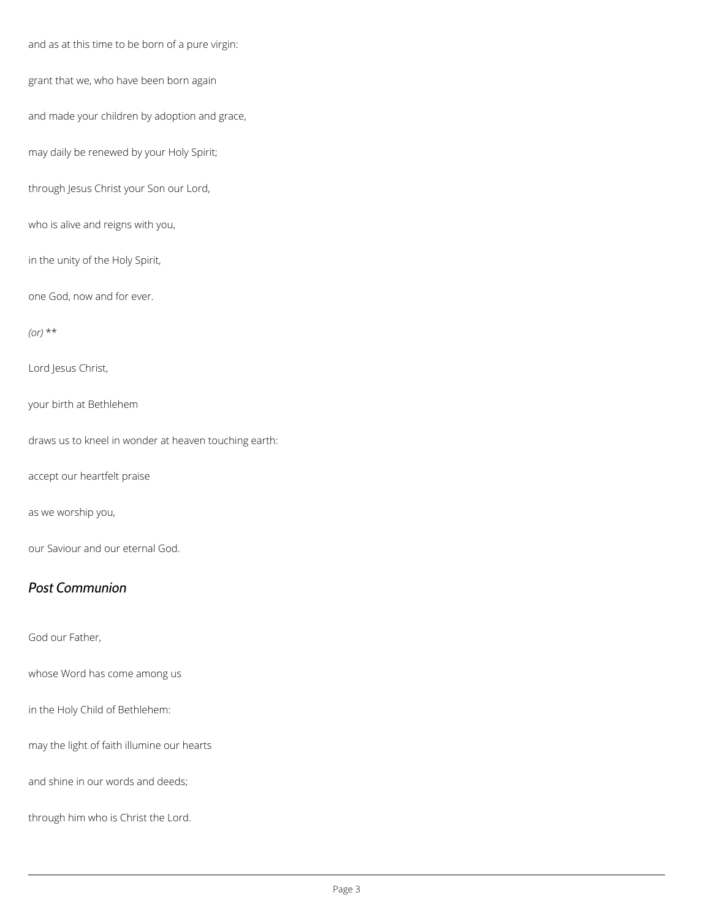and as at this time to be born of a pure virgin:

grant that we, who have been born again

and made your children by adoption and grace,

may daily be renewed by your Holy Spirit;

through Jesus Christ your Son our Lord,

who is alive and reigns with you,

in the unity of the Holy Spirit,

one God, now and for ever.

*(or)* \*\*

Lord Jesus Christ,

your birth at Bethlehem

draws us to kneel in wonder at heaven touching earth:

accept our heartfelt praise

as we worship you,

our Saviour and our eternal God.

#### *Post Communion*

God our Father,

whose Word has come among us

in the Holy Child of Bethlehem:

may the light of faith illumine our hearts

and shine in our words and deeds;

through him who is Christ the Lord.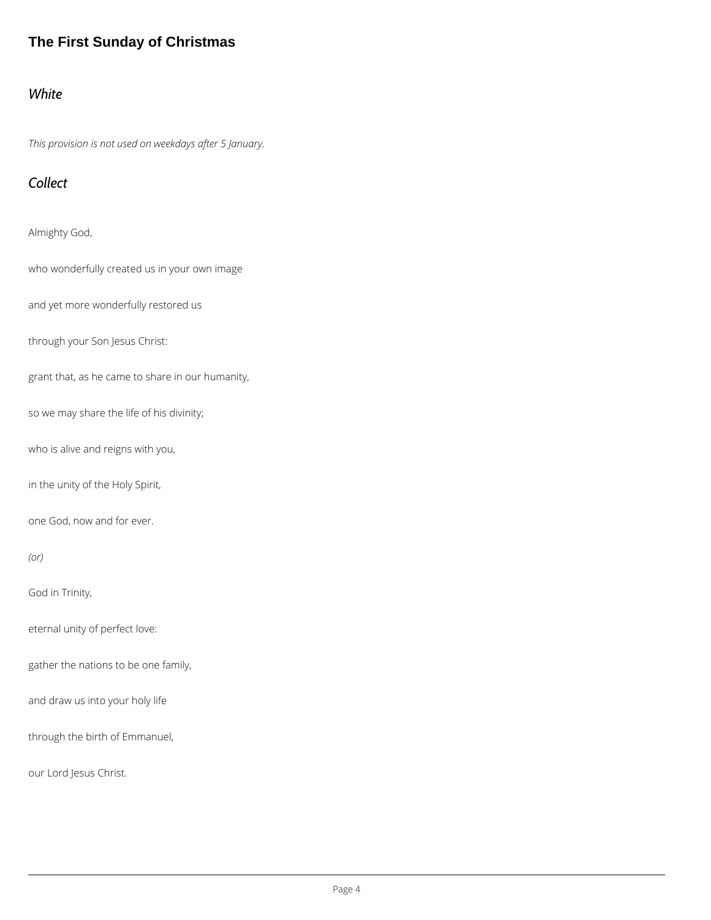# **The First Sunday of Christmas**

#### *White*

*This provision is not used on weekdays after 5 January.*

# *Collect*

Almighty God,

who wonderfully created us in your own image

and yet more wonderfully restored us

through your Son Jesus Christ:

grant that, as he came to share in our humanity,

so we may share the life of his divinity;

who is alive and reigns with you,

in the unity of the Holy Spirit,

one God, now and for ever.

*(or)*

God in Trinity,

eternal unity of perfect love:

gather the nations to be one family,

and draw us into your holy life

through the birth of Emmanuel,

our Lord Jesus Christ.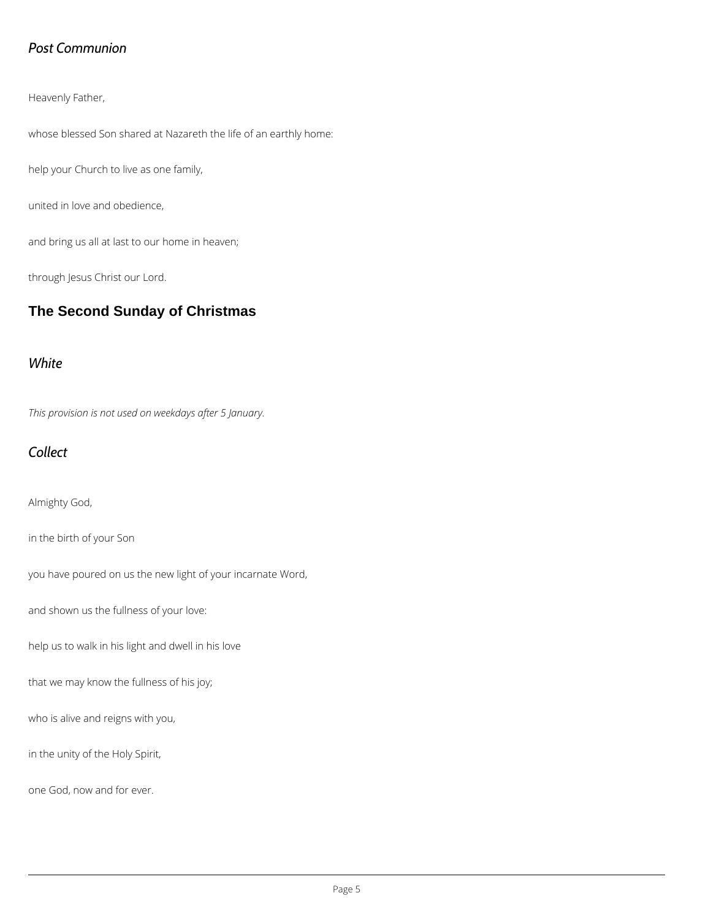## *Post Communion*

Heavenly Father,

whose blessed Son shared at Nazareth the life of an earthly home:

help your Church to live as one family,

united in love and obedience,

and bring us all at last to our home in heaven;

through Jesus Christ our Lord.

# **The Second Sunday of Christmas**

#### *White*

*This provision is not used on weekdays after 5 January.*

# *Collect*

Almighty God,

in the birth of your Son

you have poured on us the new light of your incarnate Word,

and shown us the fullness of your love:

help us to walk in his light and dwell in his love

that we may know the fullness of his joy;

who is alive and reigns with you,

in the unity of the Holy Spirit,

one God, now and for ever.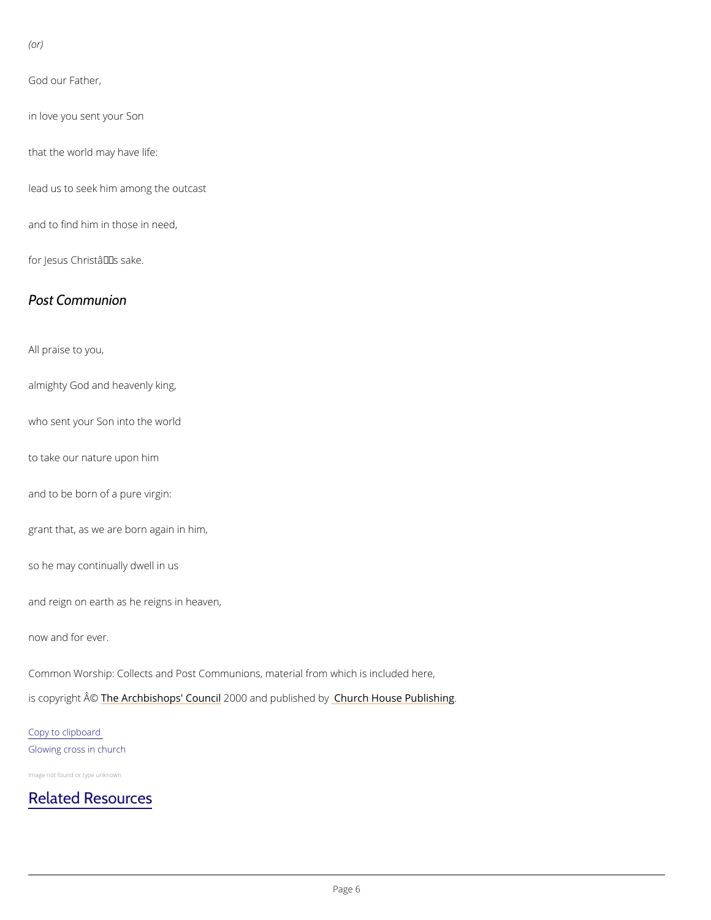(or)

God our Father,

in love you sent your Son

that the world may have life:

lead us to seek him among the outcast

and to find him in those in need,

for Jesus Christâ $\epsilon$ <sup>TM</sup>s sake.

Post Communion

All praise to you,

almighty God and heavenly king,

who sent your Son into the world

to take our nature upon him

and to be born of a pure virgin:

grant that, as we are born again in him,

so he may continually dwell in us

and reign on earth as he reigns in heaven,

now and for ever.

Common Worship: Collects and Post Communions, material from which is included here,

is copyright  $\hat{\mathbb{A}}$  @Archbishops' 2000 Qun and publish held roby House Publishing

Copy to clipboard Glowing cross in church

Image not found or type unknown